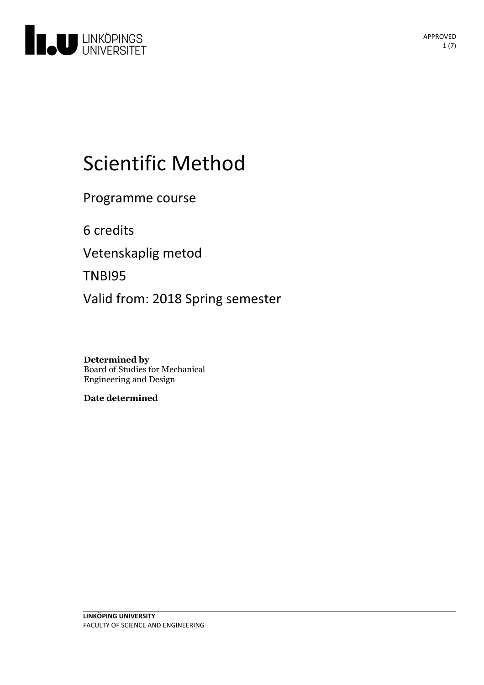

# Scientific Method

Programme course

6 credits

Vetenskaplig metod

TNBI95

Valid from: 2018 Spring semester

**Determined by** Board of Studies for Mechanical Engineering and Design

**Date determined**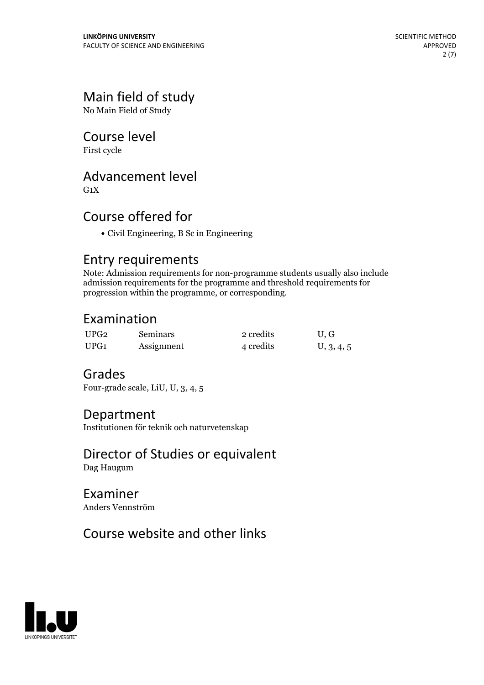# Main field of study

No Main Field of Study

# Course level

First cycle

# Advancement level

 $G_1X$ 

# Course offered for

Civil Engineering, B Sc in Engineering

## Entry requirements

Note: Admission requirements for non-programme students usually also include admission requirements for the programme and threshold requirements for progression within the programme, or corresponding.

# Examination

| UPG2 | <b>Seminars</b> | 2 credits | U.G        |
|------|-----------------|-----------|------------|
| UPG1 | Assignment      | 4 credits | U, 3, 4, 5 |

# Grades

Four-grade scale, LiU, U, 3, 4, 5

### Department

Institutionen för teknik och naturvetenskap

### Director of Studies or equivalent Dag Haugum

Examiner Anders Vennström

# Course website and other links

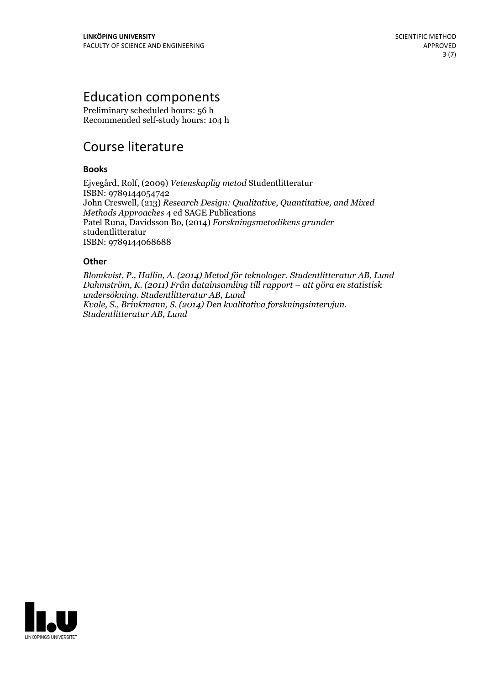# Education components

Preliminary scheduled hours: 56 h Recommended self-study hours: 104 h

# Course literature

### **Books**

Ejvegård, Rolf, (2009) *Vetenskaplig metod* Studentlitteratur ISBN: 9789144054742 John Creswell, (213) *Research Design: Qualitative, Quantitative, and Mixed Methods Approaches* 4 ed SAGE Publications Patel Runa, Davidsson Bo, (2014) *Forskningsmetodikens grunder* studentlitteratur ISBN: 9789144068688

### **Other**

*Blomkvist, P., Hallin, A. (2014) Metod för teknologer. Studentlitteratur AB, Lund Dahmström, K. (2011) Från datainsamling till rapport – att göra en statistisk undersökning. Studentlitteratur AB, Lund Kvale, S., Brinkmann, S. (2014) Den kvalitativa forskningsintervjun. Studentlitteratur AB, Lund*

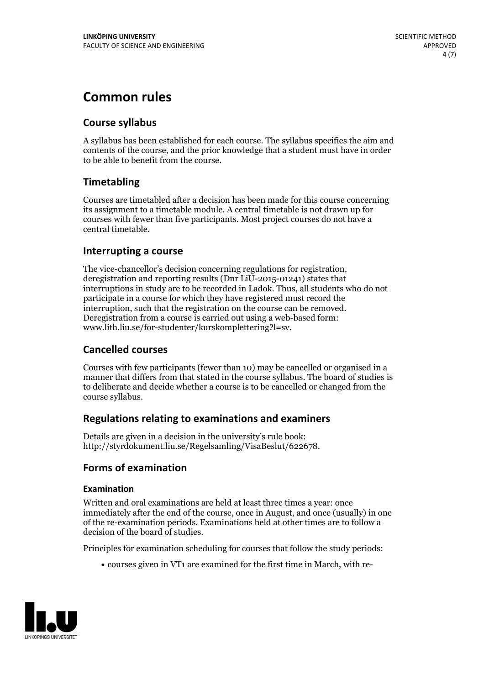# **Common rules**

### **Course syllabus**

A syllabus has been established for each course. The syllabus specifies the aim and contents of the course, and the prior knowledge that a student must have in order to be able to benefit from the course.

### **Timetabling**

Courses are timetabled after a decision has been made for this course concerning its assignment to a timetable module. A central timetable is not drawn up for courses with fewer than five participants. Most project courses do not have a central timetable.

### **Interrupting a course**

The vice-chancellor's decision concerning regulations for registration, deregistration and reporting results (Dnr LiU-2015-01241) states that interruptions in study are to be recorded in Ladok. Thus, all students who do not participate in a course for which they have registered must record the interruption, such that the registration on the course can be removed. Deregistration from <sup>a</sup> course is carried outusing <sup>a</sup> web-based form: www.lith.liu.se/for-studenter/kurskomplettering?l=sv.

### **Cancelled courses**

Courses with few participants (fewer than 10) may be cancelled or organised in a manner that differs from that stated in the course syllabus. The board of studies is to deliberate and decide whether a course is to be cancelled orchanged from the course syllabus.

### **Regulations relatingto examinations and examiners**

Details are given in a decision in the university's rule book: http://styrdokument.liu.se/Regelsamling/VisaBeslut/622678.

### **Forms of examination**

### **Examination**

Written and oral examinations are held at least three times a year: once immediately after the end of the course, once in August, and once (usually) in one of the re-examination periods. Examinations held at other times are to follow a decision of the board of studies.

Principles for examination scheduling for courses that follow the study periods:

courses given in VT1 are examined for the first time in March, with re-

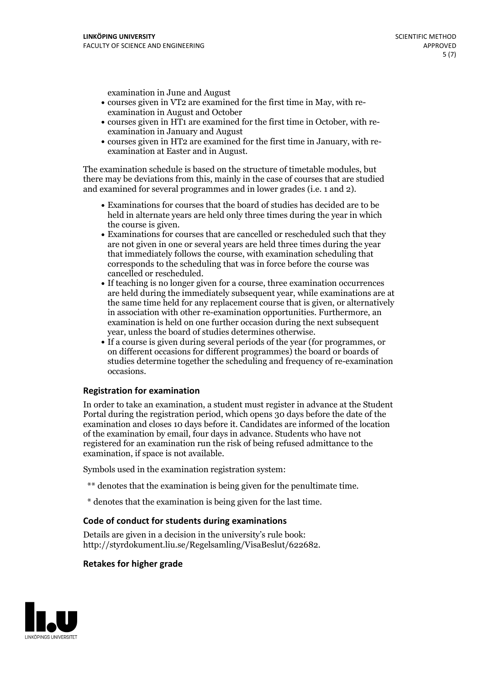examination in June and August

- courses given in VT2 are examined for the first time in May, with re-examination in August and October
- courses given in HT1 are examined for the first time in October, with re-examination in January and August
- courses given in HT2 are examined for the first time in January, with re-examination at Easter and in August.

The examination schedule is based on the structure of timetable modules, but there may be deviations from this, mainly in the case of courses that are studied and examined for several programmes and in lower grades (i.e. 1 and 2).

- Examinations for courses that the board of studies has decided are to be held in alternate years are held only three times during the year in which
- the course is given.<br>• Examinations for courses that are cancelled or rescheduled such that they are not given in one or several years are held three times during the year that immediately follows the course, with examination scheduling that corresponds to the scheduling that was in force before the course was cancelled or rescheduled.<br>• If teaching is no longer given for a course, three examination occurrences
- are held during the immediately subsequent year, while examinations are at the same time held for any replacement course that is given, or alternatively in association with other re-examination opportunities. Furthermore, an examination is held on one further occasion during the next subsequent year, unless the board of studies determines otherwise.<br>• If a course is given during several periods of the year (for programmes, or
- on different occasions for different programmes) the board orboards of studies determine together the scheduling and frequency of re-examination occasions.

#### **Registration for examination**

In order to take an examination, a student must register in advance at the Student Portal during the registration period, which opens 30 days before the date of the examination and closes 10 days before it. Candidates are informed of the location of the examination by email, four days in advance. Students who have not registered for an examination run the risk of being refused admittance to the examination, if space is not available.

Symbols used in the examination registration system:

- \*\* denotes that the examination is being given for the penultimate time.
- \* denotes that the examination is being given for the last time.

#### **Code of conduct for students during examinations**

Details are given in a decision in the university's rule book: http://styrdokument.liu.se/Regelsamling/VisaBeslut/622682.

#### **Retakes for higher grade**

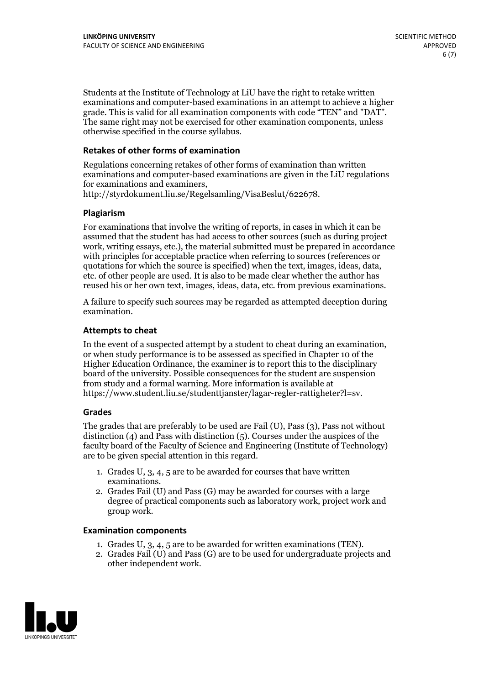Students at the Institute of Technology at LiU have the right to retake written examinations and computer-based examinations in an attempt to achieve a higher grade. This is valid for all examination components with code "TEN" and "DAT". The same right may not be exercised for other examination components, unless otherwise specified in the course syllabus.

#### **Retakes of other forms of examination**

Regulations concerning retakes of other forms of examination than written examinations and computer-based examinations are given in the LiU regulations for examinations and examiners, http://styrdokument.liu.se/Regelsamling/VisaBeslut/622678.

#### **Plagiarism**

For examinations that involve the writing of reports, in cases in which it can be assumed that the student has had access to other sources (such as during project work, writing essays, etc.), the material submitted must be prepared in accordance with principles for acceptable practice when referring to sources (references or quotations for which the source is specified) when the text, images, ideas, data, etc. of other people are used. It is also to be made clear whether the author has reused his or her own text, images, ideas, data, etc. from previous examinations.

A failure to specify such sources may be regarded as attempted deception during examination.

#### **Attempts to cheat**

In the event of <sup>a</sup> suspected attempt by <sup>a</sup> student to cheat during an examination, or when study performance is to be assessed as specified in Chapter <sup>10</sup> of the Higher Education Ordinance, the examiner is to report this to the disciplinary board of the university. Possible consequences for the student are suspension from study and a formal warning. More information is available at https://www.student.liu.se/studenttjanster/lagar-regler-rattigheter?l=sv.

#### **Grades**

The grades that are preferably to be used are Fail (U), Pass (3), Pass not without distinction  $(4)$  and Pass with distinction  $(5)$ . Courses under the auspices of the faculty board of the Faculty of Science and Engineering (Institute of Technology) are to be given special attention in this regard.

- 1. Grades U, 3, 4, 5 are to be awarded for courses that have written
- examinations. 2. Grades Fail (U) and Pass (G) may be awarded for courses with <sup>a</sup> large degree of practical components such as laboratory work, project work and group work.

#### **Examination components**

- 
- 1. Grades U, 3, 4, <sup>5</sup> are to be awarded for written examinations (TEN). 2. Grades Fail (U) and Pass (G) are to be used for undergraduate projects and other independent work.